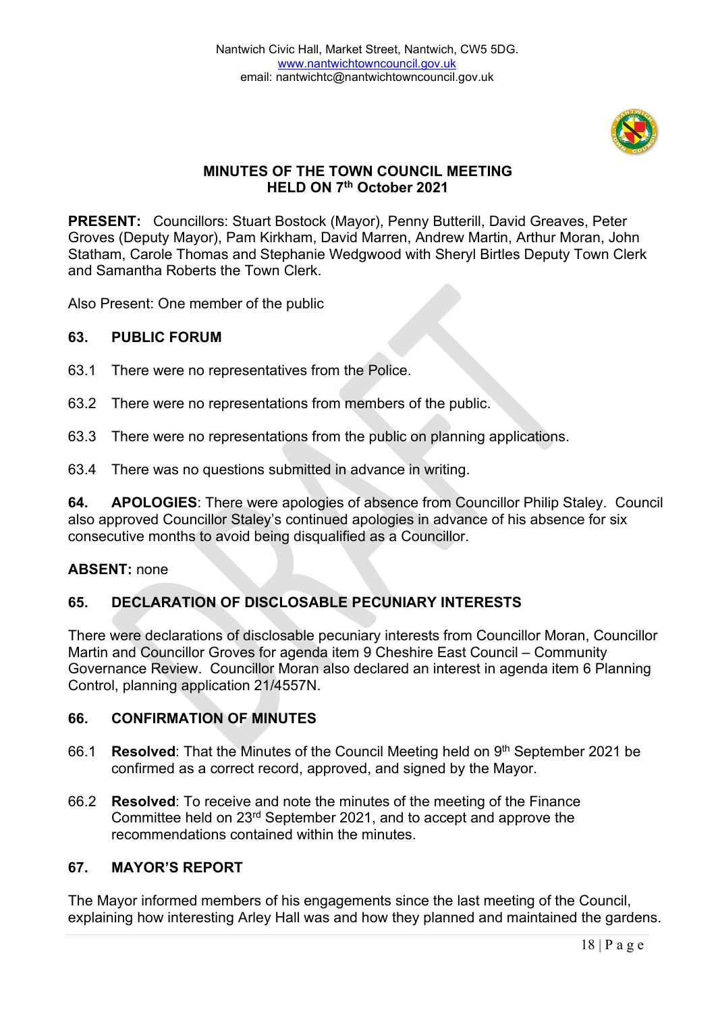

## **MINUTES OF THE TOWN COUNCIL MEETING HELD ON 7th October 2021**

**PRESENT:** Councillors: Stuart Bostock (Mayor), Penny Butterill, David Greaves, Peter Groves (Deputy Mayor), Pam Kirkham, David Marren, Andrew Martin, Arthur Moran, John Statham, Carole Thomas and Stephanie Wedgwood with Sheryl Birtles Deputy Town Clerk and Samantha Roberts the Town Clerk.

Also Present: One member of the public

#### **63. PUBLIC FORUM**

- 63.1 There were no representatives from the Police.
- 63.2 There were no representations from members of the public.
- 63.3 There were no representations from the public on planning applications.
- 63.4 There was no questions submitted in advance in writing.

**64. APOLOGIES**: There were apologies of absence from Councillor Philip Staley. Council also approved Councillor Staley's continued apologies in advance of his absence for six consecutive months to avoid being disqualified as a Councillor.

#### **ABSENT:** none

## **65. DECLARATION OF DISCLOSABLE PECUNIARY INTERESTS**

There were declarations of disclosable pecuniary interests from Councillor Moran, Councillor Martin and Councillor Groves for agenda item 9 Cheshire East Council – Community Governance Review. Councillor Moran also declared an interest in agenda item 6 Planning Control, planning application 21/4557N.

#### **66. CONFIRMATION OF MINUTES**

- 66.1 **Resolved**: That the Minutes of the Council Meeting held on 9th September 2021 be confirmed as a correct record, approved, and signed by the Mayor.
- 66.2 **Resolved**: To receive and note the minutes of the meeting of the Finance Committee held on 23rd September 2021, and to accept and approve the recommendations contained within the minutes.

#### **67. MAYOR'S REPORT**

The Mayor informed members of his engagements since the last meeting of the Council, explaining how interesting Arley Hall was and how they planned and maintained the gardens.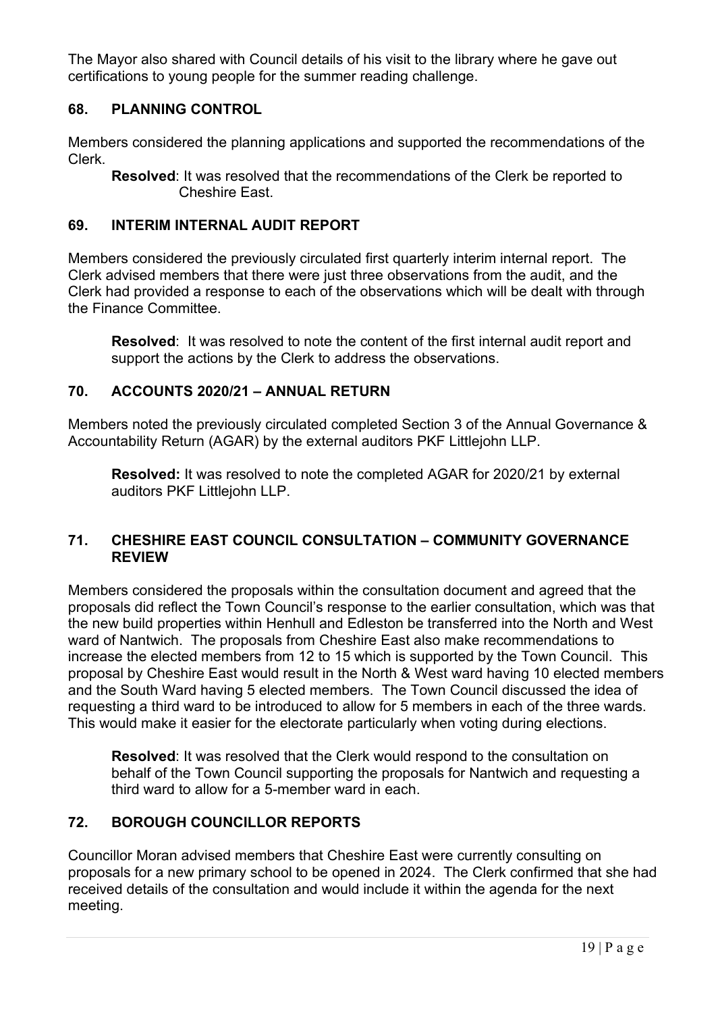The Mayor also shared with Council details of his visit to the library where he gave out certifications to young people for the summer reading challenge.

## **68. PLANNING CONTROL**

Members considered the planning applications and supported the recommendations of the Clerk.

**Resolved**: It was resolved that the recommendations of the Clerk be reported to Cheshire East.

## **69. INTERIM INTERNAL AUDIT REPORT**

Members considered the previously circulated first quarterly interim internal report. The Clerk advised members that there were just three observations from the audit, and the Clerk had provided a response to each of the observations which will be dealt with through the Finance Committee.

**Resolved**: It was resolved to note the content of the first internal audit report and support the actions by the Clerk to address the observations.

### **70. ACCOUNTS 2020/21 – ANNUAL RETURN**

Members noted the previously circulated completed Section 3 of the Annual Governance & Accountability Return (AGAR) by the external auditors PKF Littlejohn LLP.

**Resolved:** It was resolved to note the completed AGAR for 2020/21 by external auditors PKF Littlejohn LLP.

### **71. CHESHIRE EAST COUNCIL CONSULTATION – COMMUNITY GOVERNANCE REVIEW**

Members considered the proposals within the consultation document and agreed that the proposals did reflect the Town Council's response to the earlier consultation, which was that the new build properties within Henhull and Edleston be transferred into the North and West ward of Nantwich. The proposals from Cheshire East also make recommendations to increase the elected members from 12 to 15 which is supported by the Town Council. This proposal by Cheshire East would result in the North & West ward having 10 elected members and the South Ward having 5 elected members. The Town Council discussed the idea of requesting a third ward to be introduced to allow for 5 members in each of the three wards. This would make it easier for the electorate particularly when voting during elections.

**Resolved**: It was resolved that the Clerk would respond to the consultation on behalf of the Town Council supporting the proposals for Nantwich and requesting a third ward to allow for a 5-member ward in each.

## **72. BOROUGH COUNCILLOR REPORTS**

Councillor Moran advised members that Cheshire East were currently consulting on proposals for a new primary school to be opened in 2024. The Clerk confirmed that she had received details of the consultation and would include it within the agenda for the next meeting.